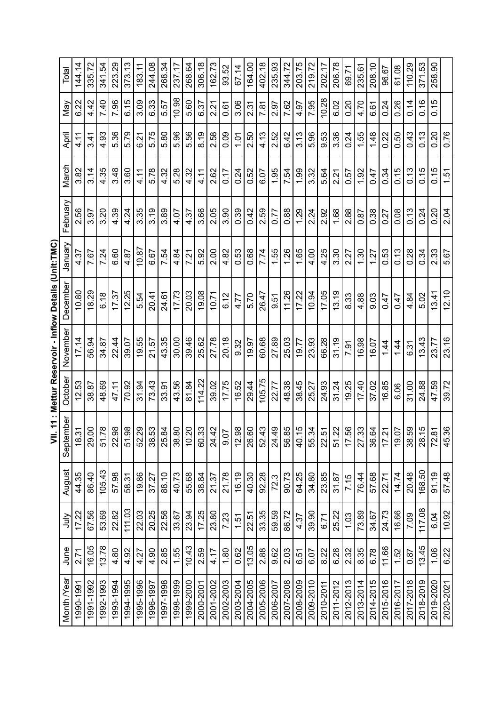| Month /Year | June  | $\frac{1}{2}$ | August | September                                                                                                                                                               | October | November | December | Vienuar | February | March | April | Nay   | Total  |
|-------------|-------|---------------|--------|-------------------------------------------------------------------------------------------------------------------------------------------------------------------------|---------|----------|----------|---------|----------|-------|-------|-------|--------|
| 1990-1991   | 2.71  | 17.22         | 44.35  | $\frac{1}{2}$<br>$\frac{8}{1}$                                                                                                                                          | 12.53   | 17.14    | 10.80    | 4.37    | 2.56     | 3.82  | 4.11  | 6.22  | 144.14 |
| 1991-1992   | 16.05 | 67.56         | 86.40  | 29.00                                                                                                                                                                   | 38.87   | 56.94    | 18.29    | 7.67    | 3.97     | 3.14  | 3.41  | 4.42  | 335.72 |
| 1992-1993   | 13.78 | 53.69         | 105.43 | 51.78                                                                                                                                                                   | 48.69   | 34.87    | 6.18     | 7.24    | 3.20     | 4.35  | 4.93  | 7.40  | 341.54 |
| 1993-1994   | 4.80  | 22.82         | 57.98  | 22.98                                                                                                                                                                   | 47.11   | 22.44    | 17.37    | 6.60    | 4.39     | 3.48  | 5.36  | 7.96  | 223.29 |
| 1994-1995   | 4.92  | 111.03        | 58.31  |                                                                                                                                                                         | 70.92   | 39.07    | 12.25    | 4.87    | 4.24     | 3.60  | 5.79  | 6.15  | 373.13 |
| 1995-1996   | 4.27  | 22.03         | 19.86  | $\frac{51.98}{52.29}$                                                                                                                                                   | 31.94   | 19.55    | 5.54     | 10.87   | 3.35     | 4.11  | 6.21  | 3.09  | 183.11 |
| 1996-1997   | 4.90  | 20.25         | 37.27  |                                                                                                                                                                         | 73.43   | 21.57    | 20.41    | 6.67    | 3.19     | 5.78  | 5.75  | 6.33  | 244.08 |
| 1997-1998   | 2.85  | 22.56         | 88.10  | $\frac{38}{36}$<br>$\frac{38}{36}$<br>$\frac{38}{36}$<br>$\frac{38}{36}$<br>$\frac{38}{36}$<br>$\frac{38}{36}$<br>$\frac{38}{36}$<br>$\frac{38}{36}$<br>$\frac{38}{36}$ | 33.91   | 43.35    | 24.61    | 7.54    | 3.89     | 4.32  | 5.80  | 5.57  | 268.34 |
| 1998-1999   | 1.55  | 33.67         | 40.73  |                                                                                                                                                                         | 43.56   | 30.00    | 17.73    | 4.84    | 4.07     | 5.28  | 5.96  | 10.98 | 237.17 |
| 1999-2000   | 10.43 | 23.94         | 55.68  |                                                                                                                                                                         | 81.84   | 39.46    | 20.03    | 7.21    | 4.37     | 4.32  | 5.56  | 5.60  | 268.64 |
| 2000-2001   | 2.59  | 17.25         | 38.84  |                                                                                                                                                                         | 114.22  | 25.62    | 19.08    | 5.92    | 3.66     | 4.11  | 8.19  | 6.37  | 306.18 |
| 2001-2002   | 4.17  | 23.80         | 21.37  |                                                                                                                                                                         | 39.02   | 27.78    | 10.71    | 2.00    | 2.05     | 2.62  | 2.58  | 2.21  | 162.73 |
| 2002-2003   | 1.80  | 7.23          | 21.78  |                                                                                                                                                                         | 17.75   | 20.18    | 6.12     | 4.82    | 3.90     | 0.17  | 0.09  | 0.61  | 93.52  |
| 2003-2004   | 0.62  | 1.51          | 16.19  |                                                                                                                                                                         | 16.52   | 9.32     | 4.77     | 0.53    | 0.39     | 0.24  | 101   | 3.06  | 67.14  |
| 2004-2005   | 13.05 | 22.51         | 40.30  |                                                                                                                                                                         | 29.44   | 19.97    | 5.70     | 0.68    | 0.42     | 0.52  | 2.50  | 2.31  | 164.00 |
| 2005-2006   | 2.88  | 33.35         | 92.28  | $\begin{array}{ c c }\hline 88 & 60 \\ 72 & 60 \\ 80 & 61 \\ \hline \end{array}$                                                                                        | 105.75  | 60.68    | 26.47    | 7.74    | 2.59     | 6.07  | 4.13  | 7.81  | 402.18 |
| 2006-2007   | 9.62  | 59.59         | 72.3   |                                                                                                                                                                         | 22.77   | 27.89    | 0.51     | 1.55    | 0.77     | 1.95  | 2.52  | 2.97  | 235.93 |
| 2007-2008   | 2.03  | 86.72         | 90.73  |                                                                                                                                                                         | 48.38   | 25.03    | 11.26    | 1.26    | 0.88     | 7.54  | 6.42  | 7.62  | 344.72 |
| 2008-2009   | 6.51  | 4.37          | 64.25  |                                                                                                                                                                         | 38.45   | 19.77    | 17.22    | 1.65    | 1.29     | 1.99  | 3.13  | 4.97  | 203.75 |
| 2009-2010   | 6.07  | 39.90         | 34.80  | $\frac{34.49}{36.85}$ $\frac{49.49}{49.81}$ $\frac{49.49}{49.81}$ $\frac{49.49}{49.81}$                                                                                 | 25.27   | 23.93    | 10.94    | 4.00    | 2.24     | 3.32  | 5.96  | 7.95  | 219.72 |
| 2010-2011   | 8.22  | 6.71          | 23.85  |                                                                                                                                                                         | 24.93   | 66.28    | 17.05    | 4.25    | 2.92     | 5.64  | 9.53  | 10.28 | 202.17 |
| 2011-2012   | 6.28  | 25.22         | 31.87  |                                                                                                                                                                         | 31.24   | 31.19    | 13.19    | 3.30    | 1.68     | 2.21  | 3.36  | 6.02  | 206.78 |
| 2012-2013   | 2.32  | 1.03          | 7.15   | $rac{51.22}{17.56}$                                                                                                                                                     | 19.25   | 7.91     | 8.33     | 2.27    | 2.88     | 0.57  | 0.24  | 0.20  | 69.71  |
| 2013-2014   | 8.35  | 73.89         | 76.44  | 27.33                                                                                                                                                                   | 17.40   | 16.98    | 4.88     | 1.30    | 0.87     | 1.92  | 1.55  | 4.70  | 235.61 |
| 2014-2015   | 6.78  | 34.67         | 57.68  | $\frac{6}{4}$<br>86.                                                                                                                                                    | 37.02   | 16.07    | 9.03     | 1.27    | 0.38     | 0.47  | 1.48  | 6.61  | 208.10 |
| 2015-2016   | 11.66 | 24.73         | 22.71  | 17.21                                                                                                                                                                   | 16.85   | 1.44     | 0.47     | 0.53    | 0.27     | 0.34  | 0.22  | 0.24  | 96.67  |
| 2016-2017   | 1.52  | 16.66         | 14.74  | $\overline{5}$<br><u>စု</u>                                                                                                                                             | 6.06    | 1.44     | 0.47     | 0.13    | 0.08     | 0.15  | 0.50  | 0.26  | 61.08  |
| 2017-2018   | 0.87  | 7.09          | 20.48  | $\mathcal{L}$<br>$\frac{8}{30}$                                                                                                                                         | 31.00   | 6.31     | 4.84     | 0.28    | 0.13     | 0.13  | 0.43  | 0.14  | 110.29 |
| 2018-2019   | 13.45 | 117.08        | 168.50 | $\frac{15}{2}$<br>28.                                                                                                                                                   | 24.88   | 13.43    | 5.02     | 0.34    | 0.24     | 0.15  | 0.13  | 0.16  | 371.53 |
| 2019-2020   | 1.06  | 6.04          | 91.19  | $\overline{8}$<br><b>Z</b>                                                                                                                                              | 47.59   | 23.77    | 13.41    | 233     | 0.20     | 0.15  | 0.20  | 0.15  | 258.90 |
| 2020-2021   | 6.22  | 10.92         | 57.48  | 45.36                                                                                                                                                                   | 39.72   | 23.16    | 12.10    | 5.67    | 2.04     | 1.51  | 0.76  |       |        |

| ļ |
|---|
|   |
| ı |
|   |
|   |
|   |
|   |